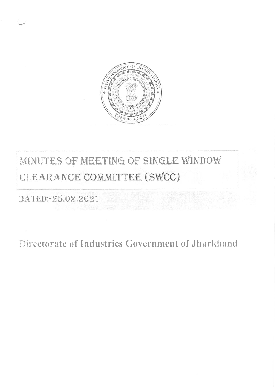

# MINUTES OF MEETING OF SINGLE WINDOW CLEARANCE COMMITTEE (SWCC)

DATED:-25.02.2021

Directorate of Industries Government of Jharkhand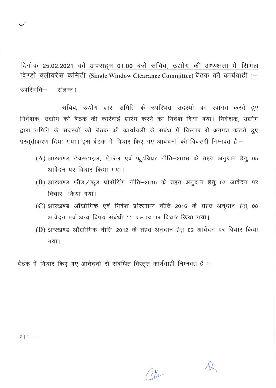दिनाक 25.02.2021 को अपराहन 01.00 बजे सचिव, उद्योग की अध्यक्षता में सिगल <u>विण्डो क्लीयरेंस कमिटी (Single Window Clearance Committee) बैठक की कार्यवाही :-</u>

उपरिथति- संलग्न।

सचिव, उद्योग द्वारा समिति के उपस्थित सदस्यों का स्वागत करते हुए निदेशक, उद्योग को बैठक की कार्रवाई प्रारंभ करने का निदेश दिया गया। निदेशक, उद्योग द्वारा समिति के सदस्यों को बैठक की कार्यावली के संबंध में विस्तार से अवगत कराते हुए प्रस्तुतीकरण दिया गया। इस बैठक में विचार किए गए आवेदनों की विवरणी निम्नवत हैं:-

- (A) झारखण्ड टेक्सटाइल, ऐपरेल एवं फूटवियर नीति-2016 के तहत अनुदान हेतु 05 आवेदन पर विचार किया गया।
- (B) झारखण्ड फीड/फूड प्रोसेसिंग नीति-2015 के तहत अनुदान हेतु 07 आवेदन पर विचार किया गया।
- (C) झारखण्ड औद्योगिक एवं निवेश प्रोत्साहन नीति–2016 के तहत अनुदान हेतु 08 आवेदन एवं अन्य विषय संबंधी 11 प्रस्ताव पर विचार किया गया।
- (D) झारखण्ड औद्योगिक नीति-2012 के तहत अनुदान हेतु 02 आवेदन पर विचार किया गया।

बैठक में विचार किए गए आवेदनों से संबंधित विस्तृत कार्यवाही निम्नवत हैं :-

 $2$  | Page

 $\mathcal{W}_{\mathscr{P}}$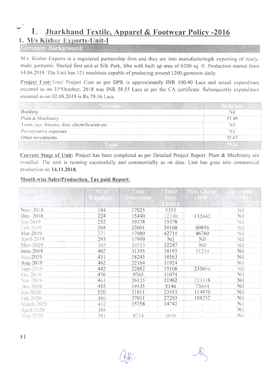## Jharkhand Textile, Apparel & Footwear Policy -2016 L 1. M/s Kishor Exports-Unit-I

#### **Company Background:**

M/s. Kishor Exports is a registered partnership firm and they are into manufacturing & exporting of readymade garments. Started first unit at Silk Park, Irba with built up area of 6200 sq. ft. Production started from 14.06.2018. The Unit has 121 machines capable of producing around 1200 garments daily.

Project Cost: Total Project Cost as per DPR is approximately INR 100.40 Lacs and actual expenditure incurred as on 31<sup>st</sup>October, 2018 was INR 58.55 Lacs as per the CA certificate. Subsequently expenditure incurred as on 02.08.2019 is Rs.79.16 Lacs.

| <b>Building</b>                                   | Ni.   |
|---------------------------------------------------|-------|
| Plant & Machinery                                 | 53.49 |
| Tools, jigs, fixtures, dies, electrification etc. | Nï    |
| Pre-operative expenses                            | Ni    |
| Other investments                                 | 25.67 |
|                                                   |       |

Current Stage of Unit: Project has been completed as per Detailed Project Report. Plant & Machinery are installed. The unit is running successfully and commercially as on date. Unit has gone into commercial production on 14.11.2018.

### Month wise Sales/Production, Tax paid Report:

|            | No. of           | Total      | Total.       | Elec. Charg |     |
|------------|------------------|------------|--------------|-------------|-----|
|            | <b>Employees</b> | Production | Sales        | (18R)       |     |
|            |                  |            | <b>AUTHE</b> |             |     |
| Nov-2018   | 184              | 17025      | 5353         |             | Nil |
| Dec-2018   | 224              | 15440      | 12330        | 132642      | Nil |
| Jan-2019   | 252              | 19378      | 35378        |             | Nil |
| Feb-2019   | 268              | 23001      | 30168        | 60856       | Nil |
| Mar-2019   | 271              | 17080      | 42711        | 46760       | Nil |
| April-2019 | 293              | 17999      | <b>Nil</b>   | Nil         | Nil |
| $May-2019$ | 305              | 24523      | 32247        | Nil         | Nil |
| June-2019  | 402              | 31395      | 18193        | 51219       | Nil |
| July-2019  | 431              | 18245      | 18563        |             | Nil |
| Aug-2019   | 462              | 22184      | 11924        |             | Nil |
| Sept-2019  | 442              | 22882      | 15108        | 233696      | Nil |
| Oct-2019   | 476              | 9765       | 11074        |             | Nil |
| Nov-2019   | 461              | 26125      | 11962        | 213318      | Nil |
| Dec-2019   | 455              | 19135      | 5146         | 73684       | Nil |
| Jan-2020   | 520              | 21011      | 23553        | 114870      | Nil |
| Feb-2020   | 486              | 37011      | 27293        | 108232      | Nil |
| March-2020 | 412              | 15758      | 14742        |             | Nil |
| April-2020 | 388              |            |              |             | Nil |
| May-2020   | 281              | 8314       | 3856         |             | Nil |

 $3$  |  $3$  and  $3$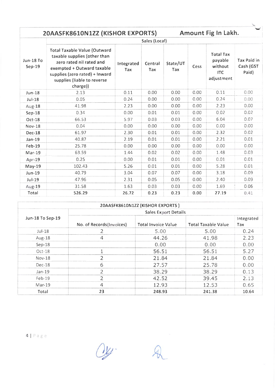|                              | 20AASFK8610N1ZZ (KISHOR EXPORTS)                                                                                                                                                                           |                   |                |                 |      | Amount Fig In Lakh.                                                |                                   |  |  |  |  |
|------------------------------|------------------------------------------------------------------------------------------------------------------------------------------------------------------------------------------------------------|-------------------|----------------|-----------------|------|--------------------------------------------------------------------|-----------------------------------|--|--|--|--|
|                              | Sales (Local)                                                                                                                                                                                              |                   |                |                 |      |                                                                    |                                   |  |  |  |  |
| <b>Jun-18 To</b><br>$Sep-19$ | <b>Total Taxable Value (Outward</b><br>taxable supplies (other than<br>zero rated nil rated and<br>exempted + Outward taxable<br>supplies (zero rated) + Inward<br>supplies (liable to reverse<br>charge)) | Integrated<br>Tax | Central<br>Tax | State/UT<br>Tax | Cess | <b>Total Tax</b><br>payable<br>without<br><b>ITC</b><br>adjustment | Tax Paid in<br>Cash (GST<br>Paid) |  |  |  |  |
| <b>Jun-18</b>                | 2.13                                                                                                                                                                                                       | 0.11              | 0.00           | 0.00            | 0.00 | 0.11                                                               | 0.00                              |  |  |  |  |
| $Jul-18$                     | 0.05                                                                                                                                                                                                       | 0.24              | 0.00           | 0.00            | 0.00 | 0.24                                                               | 0.00                              |  |  |  |  |
| Aug-18                       | 41.98                                                                                                                                                                                                      | 2.23              | 0.00           | 0.00            | 0.00 | 2.23                                                               | 0.00                              |  |  |  |  |
| $Sep-18$                     | 0.34                                                                                                                                                                                                       | 0.00              | 0.01           | 0.01            | 0.00 | 0.02                                                               | 0.02                              |  |  |  |  |
| Oct-18                       | 66.53                                                                                                                                                                                                      | 5.97              | 0.03           | 0.03            | 0.00 | 6.04                                                               | 0.07                              |  |  |  |  |
| <b>Nov-18</b>                | 0.04                                                                                                                                                                                                       | 0.00              | 0.00           | 0.00            | 0.00 | 0.00                                                               | 0.00                              |  |  |  |  |
| <b>Dec-18</b>                | 61.97                                                                                                                                                                                                      | 2.30              | 0.01           | 0.01            | 0.00 | 2.32                                                               | 0.02                              |  |  |  |  |
| Jan-19                       | 40.87                                                                                                                                                                                                      | 2.19              | 0.01           | 0.01            | 0.00 | 2.21                                                               | 0.01                              |  |  |  |  |
| Feb-19                       | 25.78                                                                                                                                                                                                      | 0.00              | 0.00           | 0.00            | 0.00 | 0.00                                                               | 0.00                              |  |  |  |  |
| $Mar-19$                     | 63.59                                                                                                                                                                                                      | 1.44              | 0.02           | 0.02            | 0.00 | 1.48                                                               | 0.03                              |  |  |  |  |
| Apr-19                       | 0.25                                                                                                                                                                                                       | 0.00              | 0.01           | 0.01            | 0.00 | 0.01                                                               | 0.01                              |  |  |  |  |
| May-19                       | 102.43                                                                                                                                                                                                     | 5.26              | 0.01           | 0.01            | 0.00 | 5.28                                                               | 0.01                              |  |  |  |  |
| <b>Jun-19</b>                | 40.79                                                                                                                                                                                                      | 3.04              | 0.07           | 0.07            | 0.00 | 3.18                                                               | 0.09                              |  |  |  |  |
| Jul-19                       | 47.96                                                                                                                                                                                                      | 2.31              | 0.05           | 0.05            | 0.00 | 2.40                                                               | 0.09                              |  |  |  |  |
| Aug-19                       | 31.58                                                                                                                                                                                                      | 1.63              | 0.03           | 0.03            | 0.00 | 1.69                                                               | 0.06                              |  |  |  |  |
| Total                        | 526.29                                                                                                                                                                                                     | 26.72             | 0.23           | 0.23            | 0.00 | 27.19                                                              | 0.41                              |  |  |  |  |

| 20AASFK8610N1ZZ (KISHOR EXPORTS) |                             |                            |                            |                   |  |  |  |  |  |  |
|----------------------------------|-----------------------------|----------------------------|----------------------------|-------------------|--|--|--|--|--|--|
|                                  | <b>Sales Export Details</b> |                            |                            |                   |  |  |  |  |  |  |
| Jun-18 To Sep-19                 | No. of Records(Invoices)    | <b>Total Invoice Value</b> | <b>Total Taxable Value</b> | Integrated<br>Tax |  |  |  |  |  |  |
| $Jul-18$                         |                             | 5.00                       | 5.00                       | 0.24              |  |  |  |  |  |  |
| $Aug-18$                         | 4                           | 44.26                      | 41.98                      | 2.23              |  |  |  |  |  |  |
| $Sep-18$                         |                             | 0.00                       | 0.00                       | 0.00              |  |  |  |  |  |  |
| $Oct-18$                         |                             | 56.51                      | 56.51                      | 5.27              |  |  |  |  |  |  |
| $Nov-18$                         | $\mathcal{P}$               | 21.84                      | 21.84                      | 0.00              |  |  |  |  |  |  |
| Dec-18                           | 6                           | 27.57                      | 25.78                      | 0.00              |  |  |  |  |  |  |
| $Jan-19$                         |                             | 38.29                      | 38.29                      | 0.13              |  |  |  |  |  |  |
| $Feb-19$                         |                             | 42.52                      | 39.45                      | 2.13              |  |  |  |  |  |  |
| Mar-19                           | 4                           | 12.93                      | 12.53                      | 0.65              |  |  |  |  |  |  |
| Total                            | 23                          | 248.93                     | 241.38                     | 10.64             |  |  |  |  |  |  |

Oy.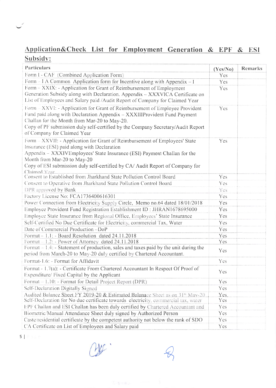# Application&Check List for Employment Generation & EPF & ESI Subsidy:

| Particulars                                                                                                                                                                                                                                                                                                                          | (Yes/No)   | <b>Remarks</b> |
|--------------------------------------------------------------------------------------------------------------------------------------------------------------------------------------------------------------------------------------------------------------------------------------------------------------------------------------|------------|----------------|
| Form I - CAF (Combined Application Form)                                                                                                                                                                                                                                                                                             | <b>Yes</b> |                |
| Form $-1 \text{ A}$ Common Application form for Incentive along with Appendix $-1$                                                                                                                                                                                                                                                   | Yes        |                |
| Form – XXIX: - Application for Grant of Reimbursement of Employment<br>Generation Subsidy along with Declaration. Appendix - XXXVICA Certificate on<br>List of Employees and Salary paid /Audit Report of Company for Claimed Year                                                                                                   | <b>Yes</b> |                |
| Form – XXVI: - Application for Grant of Reimbursement of Employee Provident<br>Fund paid along with Declaration Appendix - XXXIIIProvident Fund Payment<br>Challan for the Month from Mar-20 to May-20.<br>Copy of PF submission duly self-certified by the Company Secretary/Audit Report<br>of Company for Claimed Year            | Yes        |                |
| Form – XXVII: - Application for Grant of Reimbursement of Employees' State<br>Insurance (ESI) paid along with Declaration<br>Appendix - XXXIVEmployees' State Insurance (ESI) Payment Challan for the<br>Month from Mar-20 to May-20<br>Copy of ESI submission duly self-certified by CA/Audit Report of Company for<br>Claimed Year | Yes        |                |
| Consent to Established from Jharkhand State Pollution Control Board                                                                                                                                                                                                                                                                  | Yes        |                |
| Consent to Operative from Jharkhand State Pollution Control Board                                                                                                                                                                                                                                                                    | <b>Yes</b> |                |
| DPR approved by Bank                                                                                                                                                                                                                                                                                                                 | Yes        |                |
| Factory License No: FCA1736400616301                                                                                                                                                                                                                                                                                                 | <b>Yes</b> |                |
| Power Connection from Electricity Supply Circle, Memo no.64 dated 18/01/2018                                                                                                                                                                                                                                                         | Yes        |                |
| Employee Provident Fund Registration Establishment ID: JHRAN1678695000                                                                                                                                                                                                                                                               | Yes        |                |
| Employee State Insurance from Regional Office, Employees' State Insurance                                                                                                                                                                                                                                                            | <b>Yes</b> |                |
| Self-Certified No Due Certificate for Electricity, commercial Tax, Water                                                                                                                                                                                                                                                             | <b>Yes</b> |                |
| Date of Commercial Production-DoP                                                                                                                                                                                                                                                                                                    | Yes        |                |
| Format - 1.1: - Board Resolution dated 24.11.2018                                                                                                                                                                                                                                                                                    | Yes        |                |
| Format - 1.2: - Power of Attorney dated 24.11.2018                                                                                                                                                                                                                                                                                   | <b>Yes</b> |                |
| Format $-1.4$ : - Statement of production, sales and taxes paid by the unit during the<br>period from March-20 to May-20 duly certified by Chartered Accountant.                                                                                                                                                                     | <b>Yes</b> |                |
| Format-1.6: - Format for Affidavit                                                                                                                                                                                                                                                                                                   | Yes        |                |
| Format - 1.7(a): - Certificate From Chartered Accountant In Respect Of Proof of<br>Expenditure/ Fixed Capital by the Applicant                                                                                                                                                                                                       | Yes        |                |
| Format – 1.10: - Format for Detail Project Report (DPR)                                                                                                                                                                                                                                                                              | Yes        |                |
| Self-Declaration Digitally Signed                                                                                                                                                                                                                                                                                                    | <b>Yes</b> |                |
| Audited Balance Sheet FY 2019-20 & Estimated Balanace Sheet as on 31 <sup>st</sup> May-20                                                                                                                                                                                                                                            | Yes.       |                |
| Self-Declaration for No due certificate towards electricity, commercial tax, water                                                                                                                                                                                                                                                   | <b>Yes</b> |                |
| EPF Challan and ESI Challan has been duly certified by Chartered Accountant and                                                                                                                                                                                                                                                      | <b>Yes</b> |                |
| Biometric/Manual Attendance Sheet duly signed by Authorized Person                                                                                                                                                                                                                                                                   | <b>Yes</b> |                |
| Caste/residential certificate by the competent authority not below the rank of SDO                                                                                                                                                                                                                                                   | <b>Yes</b> |                |
| CA Certificate on List of Employees and Salary paid                                                                                                                                                                                                                                                                                  | Yes        |                |

 $\mathsf{S} \parallel \mathbb{P} \parallel \mathbb{R} \parallel \mathbb{P}$ 

 $\label{eq:R1} \frac{\partial \chi}{\partial \lambda} \left( \frac{\mathbf{g}}{\mathbf{g}} + \mathbf{g} \right)_{\mathcal{D}} \qquad \qquad \text{where} \qquad \frac{\partial \chi}{\partial \lambda}$